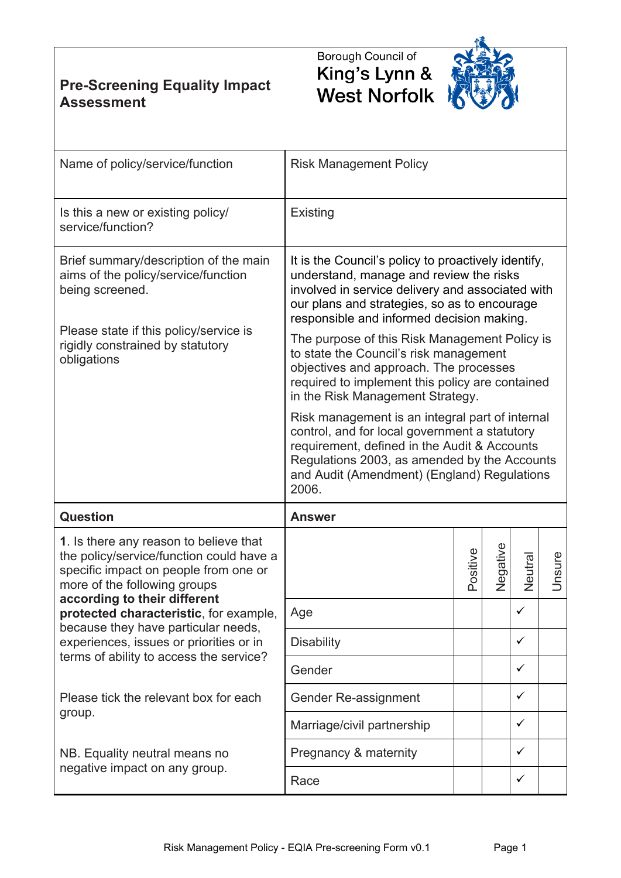**Pre-Screening Equality Impact Assessment**





| Name of policy/service/function                                                                                                                                                                                                                                                                                                                                    | <b>Risk Management Policy</b>                                                                                                                                                                                                                            |          |          |              |        |  |  |  |
|--------------------------------------------------------------------------------------------------------------------------------------------------------------------------------------------------------------------------------------------------------------------------------------------------------------------------------------------------------------------|----------------------------------------------------------------------------------------------------------------------------------------------------------------------------------------------------------------------------------------------------------|----------|----------|--------------|--------|--|--|--|
| Is this a new or existing policy/<br>service/function?                                                                                                                                                                                                                                                                                                             | Existing                                                                                                                                                                                                                                                 |          |          |              |        |  |  |  |
| Brief summary/description of the main<br>aims of the policy/service/function<br>being screened.                                                                                                                                                                                                                                                                    | It is the Council's policy to proactively identify,<br>understand, manage and review the risks<br>involved in service delivery and associated with<br>our plans and strategies, so as to encourage<br>responsible and informed decision making.          |          |          |              |        |  |  |  |
| Please state if this policy/service is<br>rigidly constrained by statutory<br>obligations                                                                                                                                                                                                                                                                          | The purpose of this Risk Management Policy is<br>to state the Council's risk management<br>objectives and approach. The processes<br>required to implement this policy are contained<br>in the Risk Management Strategy.                                 |          |          |              |        |  |  |  |
|                                                                                                                                                                                                                                                                                                                                                                    | Risk management is an integral part of internal<br>control, and for local government a statutory<br>requirement, defined in the Audit & Accounts<br>Regulations 2003, as amended by the Accounts<br>and Audit (Amendment) (England) Regulations<br>2006. |          |          |              |        |  |  |  |
| <b>Question</b>                                                                                                                                                                                                                                                                                                                                                    | <b>Answer</b>                                                                                                                                                                                                                                            |          |          |              |        |  |  |  |
| 1. Is there any reason to believe that<br>the policy/service/function could have a<br>specific impact on people from one or<br>more of the following groups<br>according to their different<br>protected characteristic, for example,<br>because they have particular needs,<br>experiences, issues or priorities or in<br>terms of ability to access the service? |                                                                                                                                                                                                                                                          | Positive | Negative | Neutral      | Unsure |  |  |  |
|                                                                                                                                                                                                                                                                                                                                                                    | Age                                                                                                                                                                                                                                                      |          |          | $\checkmark$ |        |  |  |  |
|                                                                                                                                                                                                                                                                                                                                                                    | <b>Disability</b>                                                                                                                                                                                                                                        |          |          | $\checkmark$ |        |  |  |  |
|                                                                                                                                                                                                                                                                                                                                                                    | Gender                                                                                                                                                                                                                                                   |          |          | $\checkmark$ |        |  |  |  |
| Please tick the relevant box for each<br>group.                                                                                                                                                                                                                                                                                                                    | Gender Re-assignment                                                                                                                                                                                                                                     |          |          | $\checkmark$ |        |  |  |  |
|                                                                                                                                                                                                                                                                                                                                                                    | Marriage/civil partnership                                                                                                                                                                                                                               |          |          | $\checkmark$ |        |  |  |  |
| NB. Equality neutral means no<br>negative impact on any group.                                                                                                                                                                                                                                                                                                     | Pregnancy & maternity                                                                                                                                                                                                                                    |          |          | $\checkmark$ |        |  |  |  |
|                                                                                                                                                                                                                                                                                                                                                                    | Race                                                                                                                                                                                                                                                     |          |          | $\checkmark$ |        |  |  |  |